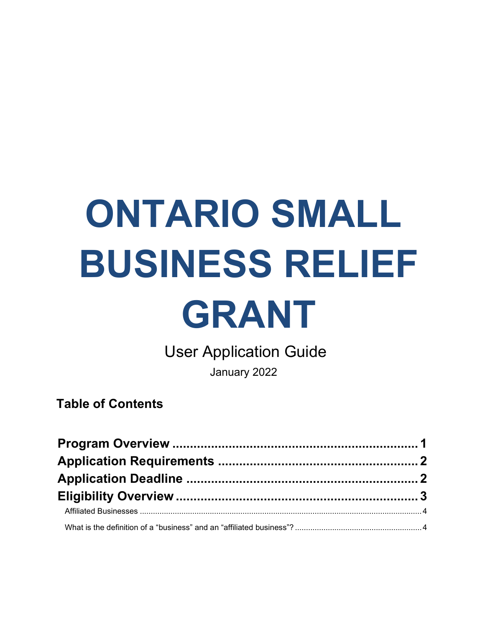# **ONTARIO SMALL BUSINESS RELIEF**

## **GRANT**

User Application Guide

January 2022

**Table of Contents**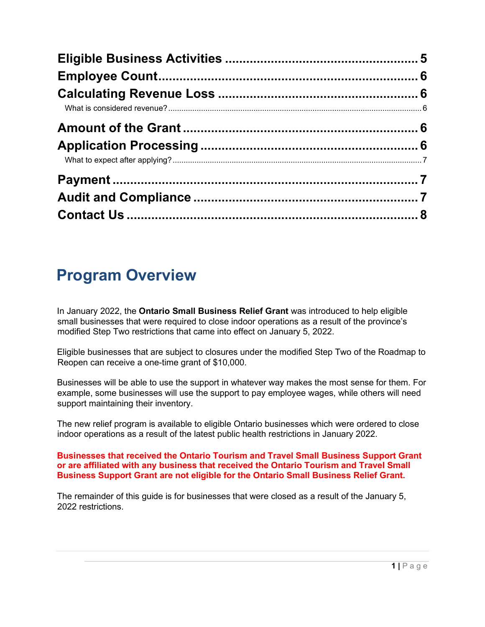### <span id="page-1-0"></span>**Program Overview**

In January 2022, the **Ontario Small Business Relief Grant** was introduced to help eligible small businesses that were required to close indoor operations as a result of the province's modified Step Two restrictions that came into effect on January 5, 2022.

Eligible businesses that are subject to closures under the modified Step Two of the Roadmap to Reopen can receive a one-time grant of \$10,000.

Businesses will be able to use the support in whatever way makes the most sense for them. For example, some businesses will use the support to pay employee wages, while others will need support maintaining their inventory.

The new relief program is available to eligible Ontario businesses which were ordered to close indoor operations as a result of the latest public health restrictions in January 2022.

#### **Businesses that received the Ontario Tourism and Travel Small Business Support Grant or are affiliated with any business that received the Ontario Tourism and Travel Small Business Support Grant are not eligible for the Ontario Small Business Relief Grant.**

The remainder of this guide is for businesses that were closed as a result of the January 5, 2022 restrictions.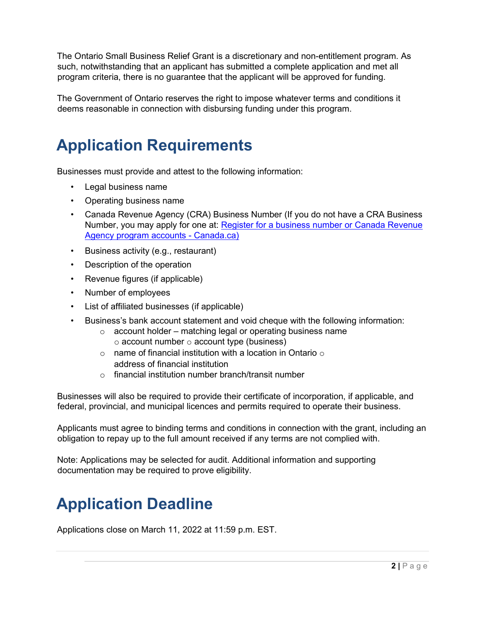The Ontario Small Business Relief Grant is a discretionary and non-entitlement program. As such, notwithstanding that an applicant has submitted a complete application and met all program criteria, there is no guarantee that the applicant will be approved for funding.

The Government of Ontario reserves the right to impose whatever terms and conditions it deems reasonable in connection with disbursing funding under this program.

## <span id="page-2-0"></span>**Application Requirements**

Businesses must provide and attest to the following information:

- Legal business name
- Operating business name
- Canada Revenue Agency (CRA) Business Number (If you do not have a CRA Business Number, you may apply for one at: [Register for a business number or Canada Revenue](https://www.canada.ca/en/revenue-agency/services/tax/businesses/topics/registering-your-business/register.html) Agency program accounts - Canada.ca)
- Business activity (e.g., restaurant)
- Description of the operation
- Revenue figures (if applicable)
- Number of employees
- List of affiliated businesses (if applicable)
- Business's bank account statement and void cheque with the following information:
	- $\circ$  account holder matching legal or operating business name  $\circ$  account number  $\circ$  account type (business)
	- $\circ$  name of financial institution with a location in Ontario  $\circ$ address of financial institution
	- o financial institution number branch/transit number

Businesses will also be required to provide their certificate of incorporation, if applicable, and federal, provincial, and municipal licences and permits required to operate their business.

Applicants must agree to binding terms and conditions in connection with the grant, including an obligation to repay up to the full amount received if any terms are not complied with.

Note: Applications may be selected for audit. Additional information and supporting documentation may be required to prove eligibility.

### <span id="page-2-1"></span>**Application Deadline**

Applications close on March 11, 2022 at 11:59 p.m. EST.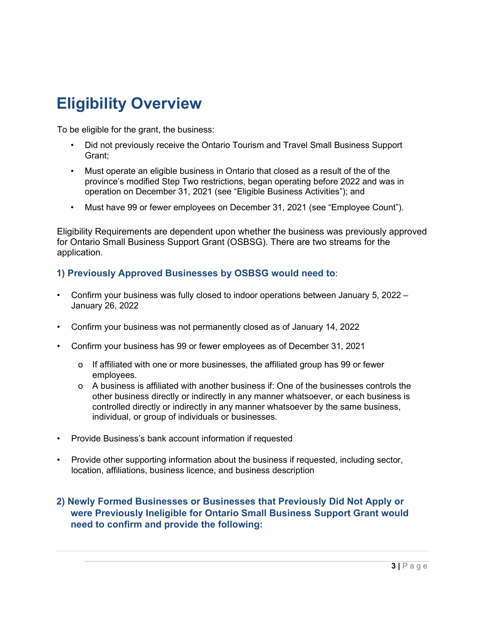## <span id="page-3-0"></span>**Eligibility Overview**

To be eligible for the grant, the business:

- Did not previously receive the Ontario Tourism and Travel Small Business Support Grant;
- Must operate an eligible business in Ontario that closed as a result of the of the province's modified Step Two restrictions, began operating before 2022 and was in operation on December 31, 2021 (see "Eligible Business Activities"); and
- Must have 99 or fewer employees on December 31, 2021 (see "Employee Count").

Eligibility Requirements are dependent upon whether the business was previously approved for Ontario Small Business Support Grant (OSBSG). There are two streams for the application.

#### **1) Previously Approved Businesses by OSBSG would need to**:

- Confirm your business was fully closed to indoor operations between January 5, 2022 January 26, 2022
- Confirm your business was not permanently closed as of January 14, 2022
- Confirm your business has 99 or fewer employees as of December 31, 2021
	- o If affiliated with one or more businesses, the affiliated group has 99 or fewer employees.
	- o A business is affiliated with another business if: One of the businesses controls the other business directly or indirectly in any manner whatsoever, or each business is controlled directly or indirectly in any manner whatsoever by the same business, individual, or group of individuals or businesses.
- Provide Business's bank account information if requested
- Provide other supporting information about the business if requested, including sector, location, affiliations, business licence, and business description

#### **2) Newly Formed Businesses or Businesses that Previously Did Not Apply or were Previously Ineligible for Ontario Small Business Support Grant would need to confirm and provide the following:**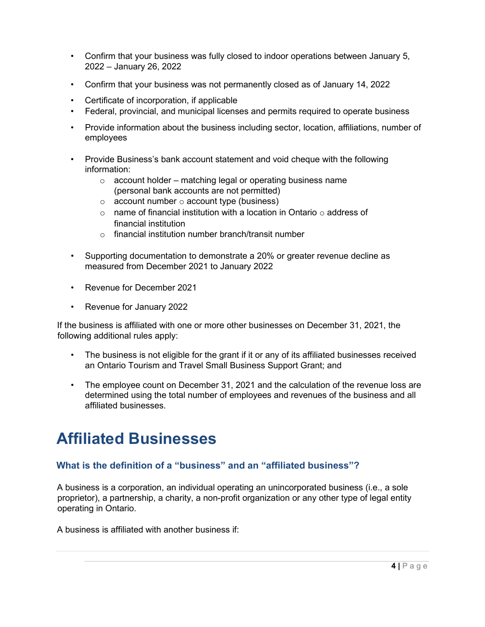- Confirm that your business was fully closed to indoor operations between January 5, 2022 – January 26, 2022
- Confirm that your business was not permanently closed as of January 14, 2022
- Certificate of incorporation, if applicable
- Federal, provincial, and municipal licenses and permits required to operate business
- Provide information about the business including sector, location, affiliations, number of employees
- Provide Business's bank account statement and void cheque with the following information:
	- $\circ$  account holder matching legal or operating business name (personal bank accounts are not permitted)
	- $\circ$  account number  $\circ$  account type (business)
	- $\circ$  name of financial institution with a location in Ontario  $\circ$  address of financial institution
	- $\circ$  financial institution number branch/transit number
- Supporting documentation to demonstrate a 20% or greater revenue decline as measured from December 2021 to January 2022
- Revenue for December 2021
- Revenue for January 2022

If the business is affiliated with one or more other businesses on December 31, 2021, the following additional rules apply:

- The business is not eligible for the grant if it or any of its affiliated businesses received an Ontario Tourism and Travel Small Business Support Grant; and
- The employee count on December 31, 2021 and the calculation of the revenue loss are determined using the total number of employees and revenues of the business and all affiliated businesses.

#### <span id="page-4-0"></span>**Affiliated Businesses**

#### <span id="page-4-1"></span>**What is the definition of a "business" and an "affiliated business"?**

A business is a corporation, an individual operating an unincorporated business (i.e., a sole proprietor), a partnership, a charity, a non-profit organization or any other type of legal entity operating in Ontario.

A business is affiliated with another business if: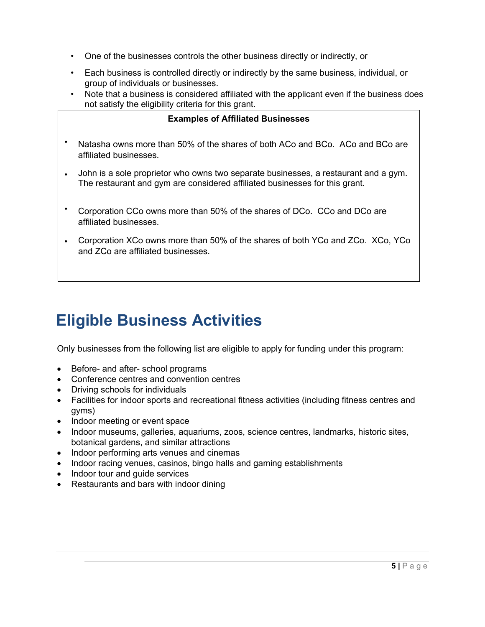- One of the businesses controls the other business directly or indirectly, or
- Each business is controlled directly or indirectly by the same business, individual, or group of individuals or businesses.
- Note that a business is considered affiliated with the applicant even if the business does not satisfy the eligibility criteria for this grant.

| <b>Examples of Affiliated Businesses</b>                                                                |  |  |  |
|---------------------------------------------------------------------------------------------------------|--|--|--|
| Natasha owns more than 50% of the shares of both ACo and BCo. ACo and BCo are<br>affiliated businesses. |  |  |  |

- John is a sole proprietor who owns two separate businesses, a restaurant and a gym. The restaurant and gym are considered affiliated businesses for this grant.
- Corporation CCo owns more than 50% of the shares of DCo. CCo and DCo are affiliated businesses.
- Corporation XCo owns more than 50% of the shares of both YCo and ZCo. XCo, YCo and ZCo are affiliated businesses.

## <span id="page-5-0"></span>**Eligible Business Activities**

Only businesses from the following list are eligible to apply for funding under this program:

- Before- and after- school programs
- Conference centres and convention centres
- Driving schools for individuals
- Facilities for indoor sports and recreational fitness activities (including fitness centres and gyms)
- Indoor meeting or event space
- Indoor museums, galleries, aquariums, zoos, science centres, landmarks, historic sites, botanical gardens, and similar attractions
- Indoor performing arts venues and cinemas
- Indoor racing venues, casinos, bingo halls and gaming establishments
- Indoor tour and guide services
- Restaurants and bars with indoor dining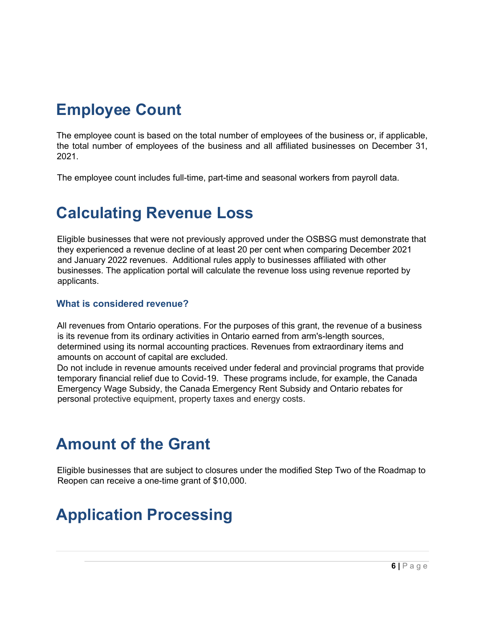## <span id="page-6-0"></span>**Employee Count**

The employee count is based on the total number of employees of the business or, if applicable, the total number of employees of the business and all affiliated businesses on December 31, 2021.

The employee count includes full-time, part-time and seasonal workers from payroll data.

#### <span id="page-6-1"></span>**Calculating Revenue Loss**

Eligible businesses that were not previously approved under the OSBSG must demonstrate that they experienced a revenue decline of at least 20 per cent when comparing December 2021 and January 2022 revenues. Additional rules apply to businesses affiliated with other businesses. The application portal will calculate the revenue loss using revenue reported by applicants.

#### <span id="page-6-2"></span>**What is considered revenue?**

All revenues from Ontario operations. For the purposes of this grant, the revenue of a business is its revenue from its ordinary activities in Ontario earned from arm's-length sources, determined using its normal accounting practices. Revenues from extraordinary items and amounts on account of capital are excluded.

Do not include in revenue amounts received under federal and provincial programs that provide temporary financial relief due to Covid-19. These programs include, for example, the Canada Emergency Wage Subsidy, the Canada Emergency Rent Subsidy and Ontario rebates for personal protective equipment, property taxes and energy costs.

#### <span id="page-6-3"></span>**Amount of the Grant**

Eligible businesses that are subject to closures under the modified Step Two of the Roadmap to Reopen can receive a one-time grant of \$10,000.

## <span id="page-6-4"></span>**Application Processing**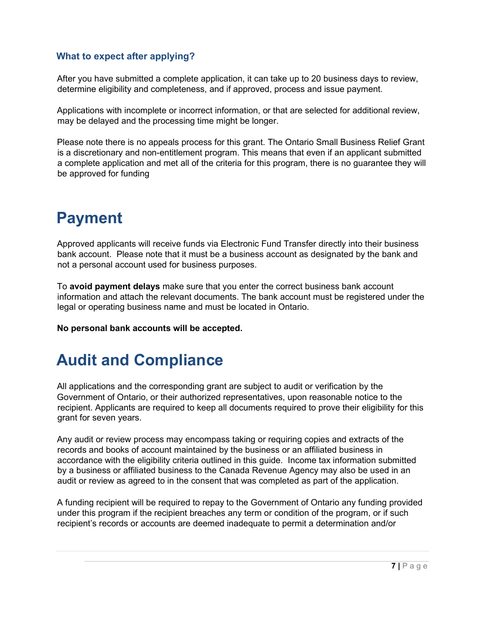#### <span id="page-7-0"></span>**What to expect after applying?**

After you have submitted a complete application, it can take up to 20 business days to review, determine eligibility and completeness, and if approved, process and issue payment.

Applications with incomplete or incorrect information, or that are selected for additional review, may be delayed and the processing time might be longer.

Please note there is no appeals process for this grant. The Ontario Small Business Relief Grant is a discretionary and non-entitlement program. This means that even if an applicant submitted a complete application and met all of the criteria for this program, there is no guarantee they will be approved for funding

#### <span id="page-7-1"></span>**Payment**

Approved applicants will receive funds via Electronic Fund Transfer directly into their business bank account. Please note that it must be a business account as designated by the bank and not a personal account used for business purposes.

To **avoid payment delays** make sure that you enter the correct business bank account information and attach the relevant documents. The bank account must be registered under the legal or operating business name and must be located in Ontario.

**No personal bank accounts will be accepted.** 

#### <span id="page-7-2"></span>**Audit and Compliance**

All applications and the corresponding grant are subject to audit or verification by the Government of Ontario, or their authorized representatives, upon reasonable notice to the recipient. Applicants are required to keep all documents required to prove their eligibility for this grant for seven years.

Any audit or review process may encompass taking or requiring copies and extracts of the records and books of account maintained by the business or an affiliated business in accordance with the eligibility criteria outlined in this guide. Income tax information submitted by a business or affiliated business to the Canada Revenue Agency may also be used in an audit or review as agreed to in the consent that was completed as part of the application.

A funding recipient will be required to repay to the Government of Ontario any funding provided under this program if the recipient breaches any term or condition of the program, or if such recipient's records or accounts are deemed inadequate to permit a determination and/or